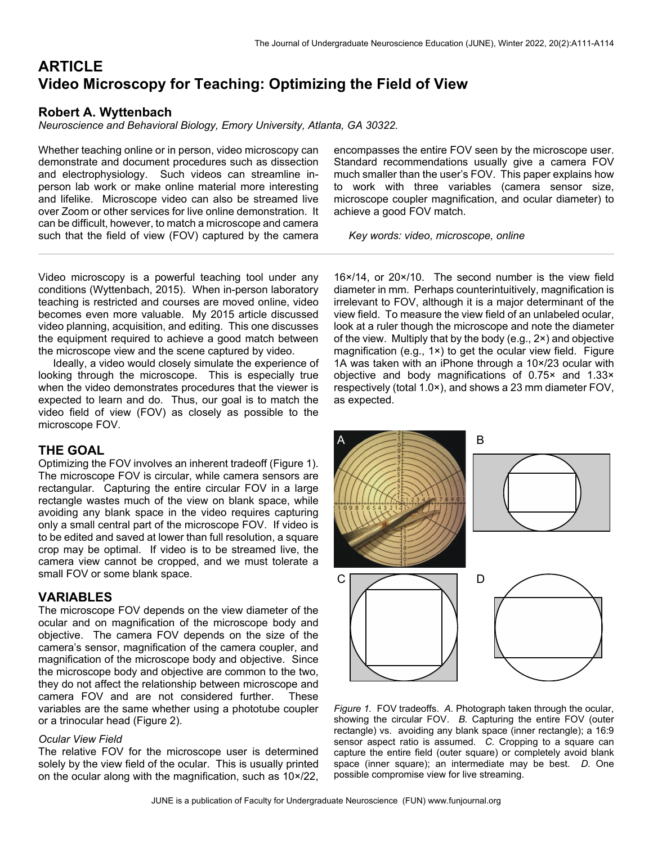# **ARTICLE Video Microscopy for Teaching: Optimizing the Field of View**

# **Robert A. Wyttenbach**

*Neuroscience and Behavioral Biology, Emory University, Atlanta, GA 30322.* 

Whether teaching online or in person, video microscopy can demonstrate and document procedures such as dissection and electrophysiology. Such videos can streamline inperson lab work or make online material more interesting and lifelike. Microscope video can also be streamed live over Zoom or other services for live online demonstration. It can be difficult, however, to match a microscope and camera such that the field of view (FOV) captured by the camera

Video microscopy is a powerful teaching tool under any conditions (Wyttenbach, 2015). When in-person laboratory teaching is restricted and courses are moved online, video becomes even more valuable. My 2015 article discussed video planning, acquisition, and editing. This one discusses the equipment required to achieve a good match between the microscope view and the scene captured by video.

 Ideally, a video would closely simulate the experience of looking through the microscope. This is especially true when the video demonstrates procedures that the viewer is expected to learn and do. Thus, our goal is to match the video field of view (FOV) as closely as possible to the microscope FOV.

# **THE GOAL**

Optimizing the FOV involves an inherent tradeoff (Figure 1). The microscope FOV is circular, while camera sensors are rectangular. Capturing the entire circular FOV in a large rectangle wastes much of the view on blank space, while avoiding any blank space in the video requires capturing only a small central part of the microscope FOV. If video is to be edited and saved at lower than full resolution, a square crop may be optimal. If video is to be streamed live, the camera view cannot be cropped, and we must tolerate a small FOV or some blank space.

# **VARIABLES**

The microscope FOV depends on the view diameter of the ocular and on magnification of the microscope body and objective. The camera FOV depends on the size of the camera's sensor, magnification of the camera coupler, and magnification of the microscope body and objective. Since the microscope body and objective are common to the two, they do not affect the relationship between microscope and camera FOV and are not considered further. These variables are the same whether using a phototube coupler or a trinocular head (Figure 2).

# *Ocular View Field*

The relative FOV for the microscope user is determined solely by the view field of the ocular. This is usually printed on the ocular along with the magnification, such as 10×/22,

encompasses the entire FOV seen by the microscope user. Standard recommendations usually give a camera FOV much smaller than the user's FOV. This paper explains how to work with three variables (camera sensor size, microscope coupler magnification, and ocular diameter) to achieve a good FOV match.

*Key words: video, microscope, online*

16×/14, or 20×/10. The second number is the view field diameter in mm. Perhaps counterintuitively, magnification is irrelevant to FOV, although it is a major determinant of the view field. To measure the view field of an unlabeled ocular, look at a ruler though the microscope and note the diameter of the view. Multiply that by the body (e.g., 2×) and objective magnification (e.g., 1×) to get the ocular view field. Figure 1A was taken with an iPhone through a 10×/23 ocular with objective and body magnifications of 0.75× and 1.33× respectively (total 1.0×), and shows a 23 mm diameter FOV, as expected.



*Figure 1.* FOV tradeoffs. *A.* Photograph taken through the ocular, showing the circular FOV. *B.* Capturing the entire FOV (outer rectangle) vs. avoiding any blank space (inner rectangle); a 16:9 sensor aspect ratio is assumed. *C.* Cropping to a square can capture the entire field (outer square) or completely avoid blank space (inner square); an intermediate may be best. *D.* One possible compromise view for live streaming.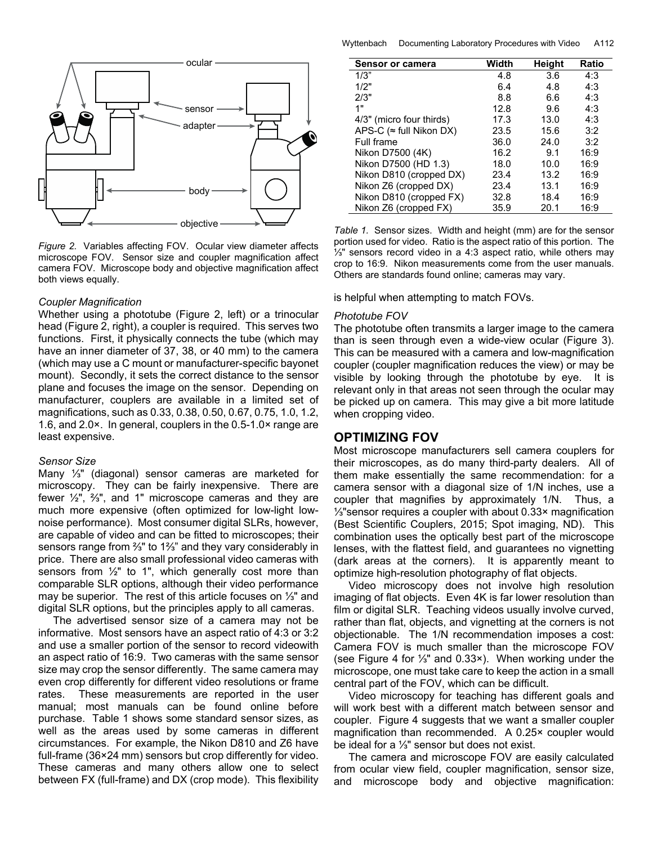

*Figure 2.* Variables affecting FOV. Ocular view diameter affects microscope FOV. Sensor size and coupler magnification affect camera FOV. Microscope body and objective magnification affect both views equally.

#### *Coupler Magnification*

Whether using a phototube (Figure 2, left) or a trinocular head (Figure 2, right), a coupler is required. This serves two functions. First, it physically connects the tube (which may have an inner diameter of 37, 38, or 40 mm) to the camera (which may use a C mount or manufacturer-specific bayonet mount). Secondly, it sets the correct distance to the sensor plane and focuses the image on the sensor. Depending on manufacturer, couplers are available in a limited set of magnifications, such as 0.33, 0.38, 0.50, 0.67, 0.75, 1.0, 1.2, 1.6, and 2.0×. In general, couplers in the 0.5-1.0× range are least expensive.

#### *Sensor Size*

Many ⅓ʺ (diagonal) sensor cameras are marketed for microscopy. They can be fairly inexpensive. There are fewer  $\frac{1}{2}$ ,  $\frac{2}{3}$ , and 1" microscope cameras and they are much more expensive (often optimized for low-light lownoise performance). Most consumer digital SLRs, however, are capable of video and can be fitted to microscopes; their sensors range from <sup>3</sup>/<sub>3</sub>" to 1<sup>3</sup>/<sub>3</sub>" and they vary considerably in price. There are also small professional video cameras with sensors from  $\frac{1}{2}$ " to 1", which generally cost more than comparable SLR options, although their video performance may be superior. The rest of this article focuses on ⅓ʺ and digital SLR options, but the principles apply to all cameras.

 The advertised sensor size of a camera may not be informative. Most sensors have an aspect ratio of 4:3 or 3:2 and use a smaller portion of the sensor to record videowith an aspect ratio of 16:9. Two cameras with the same sensor size may crop the sensor differently. The same camera may even crop differently for different video resolutions or frame rates. These measurements are reported in the user manual; most manuals can be found online before purchase. Table 1 shows some standard sensor sizes, as well as the areas used by some cameras in different circumstances. For example, the Nikon D810 and Z6 have full-frame (36×24 mm) sensors but crop differently for video. These cameras and many others allow one to select between FX (full-frame) and DX (crop mode). This flexibility

Wyttenbach Documenting Laboratory Procedures with Video A112

| <b>Sensor or camera</b>          | Width | Height | Ratio |
|----------------------------------|-------|--------|-------|
| 1/3"                             | 4.8   | 3.6    | 4:3   |
| 1/2"                             | 6.4   | 4.8    | 4:3   |
| 2/3"                             | 8.8   | 6.6    | 4:3   |
| 1"                               | 12.8  | 9.6    | 4:3   |
| 4/3" (micro four thirds)         | 17.3  | 13.0   | 4:3   |
| APS-C ( $\approx$ full Nikon DX) | 23.5  | 15.6   | 3:2   |
| Full frame                       | 36.0  | 24.0   | 3:2   |
| Nikon D7500 (4K)                 | 16.2  | 9.1    | 16:9  |
| Nikon D7500 (HD 1.3)             | 18.0  | 10.0   | 16:9  |
| Nikon D810 (cropped DX)          | 23.4  | 13.2   | 16:9  |
| Nikon Z6 (cropped DX)            | 23.4  | 13.1   | 16:9  |
| Nikon D810 (cropped FX)          | 32.8  | 18.4   | 16:9  |
| Nikon Z6 (cropped FX)            | 35.9  | 20.1   | 16:9  |

*Table 1.* Sensor sizes. Width and height (mm) are for the sensor portion used for video. Ratio is the aspect ratio of this portion. The ⅓ʺ sensors record video in a 4:3 aspect ratio, while others may crop to 16:9. Nikon measurements come from the user manuals. Others are standards found online; cameras may vary.

is helpful when attempting to match FOVs.

#### *Phototube FOV*

The phototube often transmits a larger image to the camera than is seen through even a wide-view ocular (Figure 3). This can be measured with a camera and low-magnification coupler (coupler magnification reduces the view) or may be visible by looking through the phototube by eye. It is relevant only in that areas not seen through the ocular may be picked up on camera. This may give a bit more latitude when cropping video.

# **OPTIMIZING FOV**

Most microscope manufacturers sell camera couplers for their microscopes, as do many third-party dealers. All of them make essentially the same recommendation: for a camera sensor with a diagonal size of 1/N inches, use a coupler that magnifies by approximately 1/N. Thus, a ⅓ʺsensor requires a coupler with about 0.33× magnification (Best Scientific Couplers, 2015; Spot imaging, ND). This combination uses the optically best part of the microscope lenses, with the flattest field, and guarantees no vignetting (dark areas at the corners). It is apparently meant to optimize high-resolution photography of flat objects.

 Video microscopy does not involve high resolution imaging of flat objects. Even 4K is far lower resolution than film or digital SLR. Teaching videos usually involve curved, rather than flat, objects, and vignetting at the corners is not objectionable. The 1/N recommendation imposes a cost: Camera FOV is much smaller than the microscope FOV (see Figure 4 for ⅓ʺ and 0.33×). When working under the microscope, one must take care to keep the action in a small central part of the FOV, which can be difficult.

 Video microscopy for teaching has different goals and will work best with a different match between sensor and coupler. Figure 4 suggests that we want a smaller coupler magnification than recommended. A 0.25× coupler would be ideal for a ⅓ʺ sensor but does not exist.

 The camera and microscope FOV are easily calculated from ocular view field, coupler magnification, sensor size, and microscope body and objective magnification: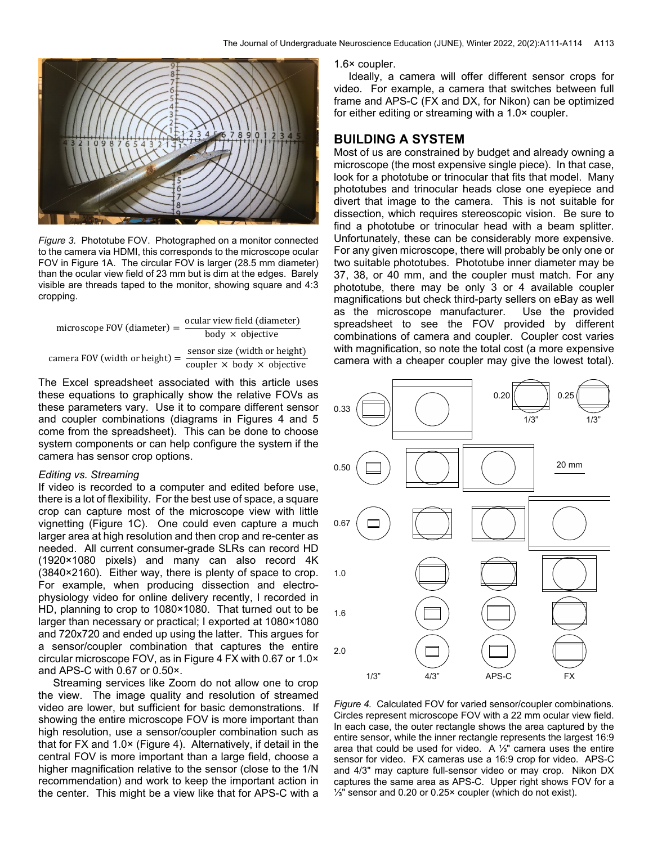

*Figure 3.* Phototube FOV. Photographed on a monitor connected to the camera via HDMI, this corresponds to the microscope ocular FOV in Figure 1A. The circular FOV is larger (28.5 mm diameter) than the ocular view field of 23 mm but is dim at the edges. Barely visible are threads taped to the monitor, showing square and 4:3 cropping.

$$
microscope \, FOV \, (diameter) = \frac{ocular \, view \, field \, (diameter)}{body \, \times \, objective}
$$
\n
$$
camera \, FOV \, (width \, or \, height) = \frac{sensor \, size \, (width \, or \, height)}{coupler \, \times \, body \, \times \, objective}
$$

The Excel spreadsheet associated with this article uses these equations to graphically show the relative FOVs as these parameters vary. Use it to compare different sensor and coupler combinations (diagrams in Figures 4 and 5 come from the spreadsheet). This can be done to choose system components or can help configure the system if the camera has sensor crop options.

#### *Editing vs. Streaming*

If video is recorded to a computer and edited before use, there is a lot of flexibility. For the best use of space, a square crop can capture most of the microscope view with little vignetting (Figure 1C). One could even capture a much larger area at high resolution and then crop and re-center as needed. All current consumer-grade SLRs can record HD (1920×1080 pixels) and many can also record 4K (3840×2160). Either way, there is plenty of space to crop. For example, when producing dissection and electrophysiology video for online delivery recently, I recorded in HD, planning to crop to 1080×1080. That turned out to be larger than necessary or practical; I exported at 1080×1080 and 720x720 and ended up using the latter. This argues for a sensor/coupler combination that captures the entire circular microscope FOV, as in Figure 4 FX with 0.67 or 1.0× and APS-C with 0.67 or 0.50×.

 Streaming services like Zoom do not allow one to crop the view. The image quality and resolution of streamed video are lower, but sufficient for basic demonstrations. If showing the entire microscope FOV is more important than high resolution, use a sensor/coupler combination such as that for FX and 1.0× (Figure 4). Alternatively, if detail in the central FOV is more important than a large field, choose a higher magnification relative to the sensor (close to the 1/N recommendation) and work to keep the important action in the center. This might be a view like that for APS-C with a

1.6× coupler.

 Ideally, a camera will offer different sensor crops for video. For example, a camera that switches between full frame and APS-C (FX and DX, for Nikon) can be optimized for either editing or streaming with a 1.0× coupler.

# **BUILDING A SYSTEM**

Most of us are constrained by budget and already owning a microscope (the most expensive single piece). In that case, look for a phototube or trinocular that fits that model. Many phototubes and trinocular heads close one eyepiece and divert that image to the camera. This is not suitable for dissection, which requires stereoscopic vision. Be sure to find a phototube or trinocular head with a beam splitter. Unfortunately, these can be considerably more expensive. For any given microscope, there will probably be only one or two suitable phototubes. Phototube inner diameter may be 37, 38, or 40 mm, and the coupler must match. For any phototube, there may be only 3 or 4 available coupler magnifications but check third-party sellers on eBay as well as the microscope manufacturer. Use the provided spreadsheet to see the FOV provided by different combinations of camera and coupler. Coupler cost varies with magnification, so note the total cost (a more expensive camera with a cheaper coupler may give the lowest total).



*Figure 4.* Calculated FOV for varied sensor/coupler combinations. Circles represent microscope FOV with a 22 mm ocular view field. In each case, the outer rectangle shows the area captured by the entire sensor, while the inner rectangle represents the largest 16:9 area that could be used for video. A 1<sup>⁄3</sup>" camera uses the entire sensor for video. FX cameras use a 16:9 crop for video. APS-C and 4/3" may capture full-sensor video or may crop. Nikon DX captures the same area as APS-C. Upper right shows FOV for a ⅓ʺ sensor and 0.20 or 0.25× coupler (which do not exist).